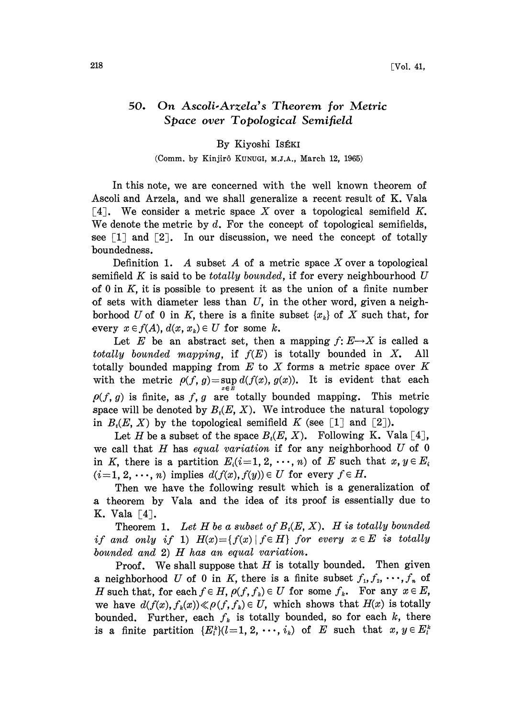## 50. On Ascoli-Arzela's Theorem for Metric Space over Topological Semifield

## By Kiyoshi IsÉKI

## (Comm. by Kinjirô Kunugi, M.J.A., March 12, 1965)

In this note, we are concerned with the well known theorem of Ascoli and Arzela, and we shall generalize a recent result of K. Vala [4]. We consider a metric space X over a topological semifield  $K$ . We denote the metric by  $d$ . For the concept of topological semifields, see  $\lceil 1 \rceil$  and  $\lceil 2 \rceil$ . In our discussion, we need the concept of totally boundedness.

Definition 1. A subset A of a metric space X over a topological semifield K is said to be *totally bounded*, if for every neighbourhood  $U$ of 0 in  $K$ , it is possible to present it as the union of a finite number of sets with diameter less than  $U$ , in the other word, given a neighborhood U of 0 in K, there is a finite subset  $\{x_k\}$  of X such that, for every  $x \in f(A)$ ,  $d(x, x_k) \in U$  for some k.

Let E be an abstract set, then a mapping  $f: E \rightarrow X$  is called a totally bounded mapping, if  $f(E)$  is totally bounded in X. All totally bounded mapping from  $E$  to  $X$  forms a metric space over  $K$ with the metric  $\rho(f, g) = \sup d(f(x), g(x))$ . It is evident that each  $\rho(f, g)$  is finite, as f, g are totally bounded mapping. This metric space will be denoted by  $B_i(E, X)$ . We introduce the natural topology in  $B_t(E, X)$  by the topological semifield K (see [1] and [2]).

Let H be a subset of the space  $B_i(E, X)$ . Following K. Vala [4], we call that H has equal variation if for any neighborhood  $U$  of 0 in K, there is a partition  $E_i(i=1, 2, \dots, n)$  of E such that  $x, y \in E_i$  $(i=1, 2, \dots, n)$  implies  $d(f(x), f(y)) \in U$  for every  $f \in H$ .

Then we have the following result which is a generalization of .a theorem by Vala and the idea of its proof is essentially due to K. Vala  $\lceil 4 \rceil$ .

Theorem 1. Let H be a subset of  $B_t(E, X)$ . H is totally bounded if and only if 1)  $H(x) = \{f(x) | f \in H\}$  for every  $x \in E$  is totally bounded and 2) H has an equal variation.

Proof. We shall suppose that  $H$  is totally bounded. Then given a neighborhood U of 0 in K, there is a finite subset  $f_1, f_2, \dots, f_n$  of H such that, for each  $f \in H$ ,  $\rho(f, f_k) \in U$  for some  $f_k$ . For any  $x \in E$ , we have  $d(f(x), f_k(x)) \ll \rho(f, f_k) \in U$ , which shows that  $H(x)$  is totally bounded. Further, each  $f_k$  is totally bounded, so for each k, there is a finite partition  $\{E_i^k\}(l=1,2,\dots,i_k)$  of E such that  $x, y \in E_i^k$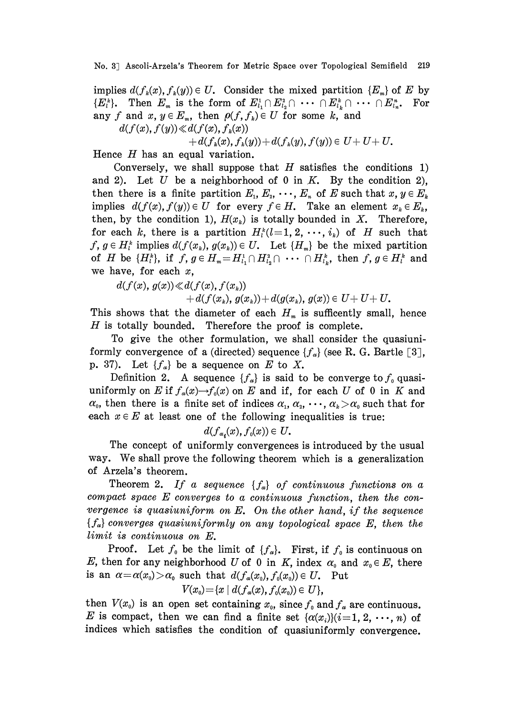No. 3 Ascoli-Arzela's Theorem for Metric Space over Topological Semifield 219

implies  $d(f_k(x), f_k(y)) \in U$ . Consider the mixed partition  $\{E_m\}$  of E by  ${E}_{i}^{k}$ . Then  $E_{m}$  is the form of  $E_{l_1}^1 \cap E_{l_2}^2 \cap \cdots \cap E_{l_k}^k \cap \cdots \cap E_{l_n}^n$ . For any f and  $x, y \in E_m$ , then  $\rho(f, f_k) \in U$  for some k, and

$$
d(f(x),f(y))\!\ll\! d(f(x),f_k(x))
$$

$$
+d(f_k(x),f_k(y))+d(f_k(y),f(y))\in U+U+U.
$$

Hence  $H$  has an equal variation.

Conversely, we shall suppose that  $H$  satisfies the conditions 1) and 2). Let U be a neighborhood of 0 in  $K$ . By the condition 2), then there is a finite partition  $E_1, E_2, \cdots, E_n$  of E such that  $x, y \in E_k$ implies  $d(f(x), f(y)) \in U$  for every  $f \in H$ . Take an element  $x_k \in E_k$ , then, by the condition 1),  $H(x_k)$  is totally bounded in X. Therefore, for each k, there is a partition  $H_i^k(l=1, 2, \dots, i_k)$  of H such that  $f, g \in H_i^k$  implies  $d(f(x_k), g(x_k)) \in U$ . Let  $\{H_m\}$  be the mixed partition of H be  $\{H_i^k\}$ , if  $f, g \in H_{m} = H_{i_1}^1 \cap H_{i_2}^2 \cap \cdots \cap H_{i_k}^k$ , then  $f, g \in H_i^k$  and we have, for each  $x$ ,

$$
d(f(x), g(x)) \ll d(f(x), f(x_k))
$$

 $+d(f(x_k), g(x_k)) + d(g(x_k), g(x)) \in U + U + U.$ 

This shows that the diameter of each  $H_m$  is sufficently small, hence  $H$  is totally bounded. Therefore the proof is complete.

To give the other formulation, we shall consider the quasiuniformly convergence of a (directed) sequence  ${f_a}$  (see R. G. Bartle [3], p. 37). Let  $\{f_{\alpha}\}\$ be a sequence on E to X.

Definition 2. A sequence  ${f_{\alpha}}$  is said to be converge to  $f_0$  quasiuniformly on E if  $f_a(x) \rightarrow f_0(x)$  on E and if, for each U of 0 in K and  $\alpha_0$ , then there is a finite set of indices  $\alpha_1, \alpha_2, \cdots, \alpha_k > \alpha_0$  such that for each  $x \in E$  at least one of the following inequalities is true:

$$
d(f_{a_i}(x), f_0(x)) \in U.
$$

The concept of uniformly convergences is introduced by the usual way. We shall prove the following theorem which is <sup>a</sup> generalization of Arzela's theorem.

Theorem 2. If a sequence  $\{f_{\alpha}\}\$  of continuous functions on a compact space E converges to <sup>a</sup> continuous function, then the convergence is quasiuniform on  $E$ . On the other hand, if the sequence  ${f_{\alpha}}$  converges quasiuniformly on any topological space E, then the limit is continuous on E.

Proof. Let  $f_0$  be the limit of  $\{f_\alpha\}$ . First, if  $f_0$  is continuous on E, then for any neighborhood U of 0 in K, index  $\alpha_0$  and  $x_0 \in E$ , there is an  $\alpha = \alpha(x_0) > \alpha_0$  such that  $d(f_\alpha(x_0), f_\beta(x_0)) \in U$ . Put

$$
V(x_0) = \{x \mid d(f_a(x), f_0(x_0)) \in U\},\
$$

then  $V(x_0)$  is an open set containing  $x_0$ , since  $f_0$  and  $f_\alpha$  are continuous. E is compact, then we can find a finite set  $\{\alpha(x_i)\}(i=1, 2, \dots, n)$  of indices which satisfies the condition of quasiuniformly convergence.